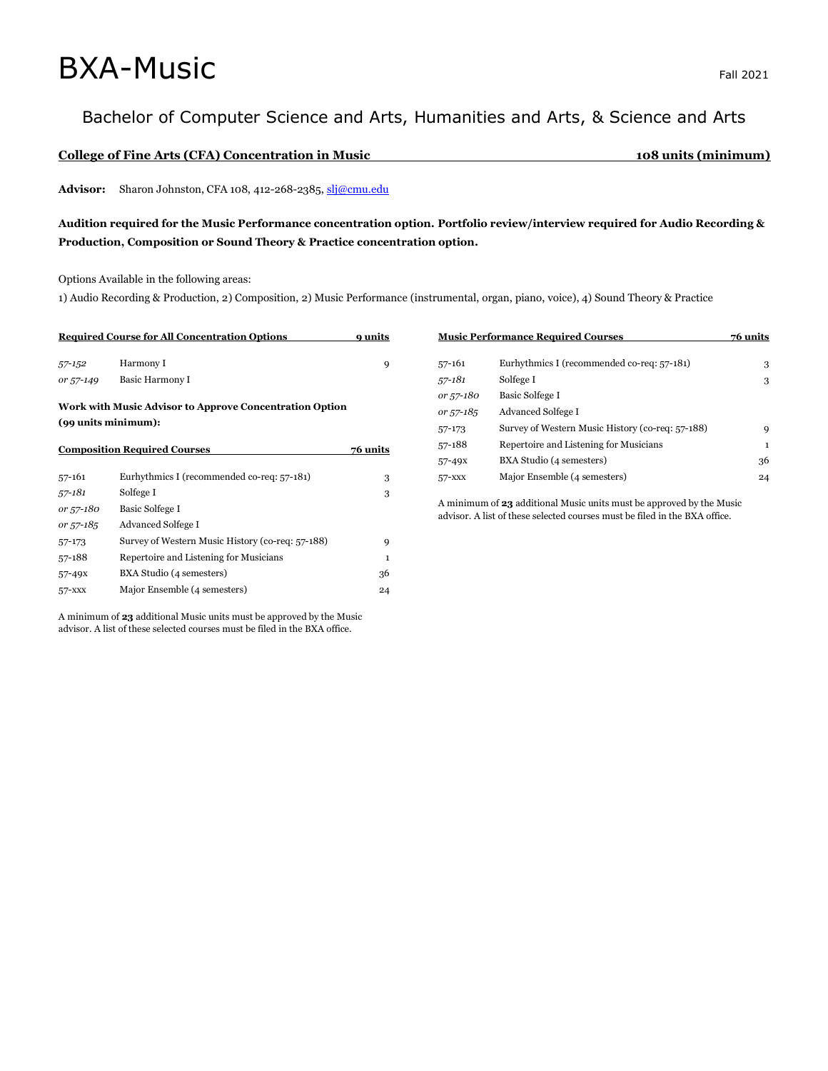# $\mathsf{BXA}\text{-}\mathsf{Music}$

## Bachelor of Computer Science and Arts, Humanities and Arts, & Science and Arts

#### **College of Fine Arts (CFA) Concentration in Music 108 units (minimum)**

Advisor: Sharon Johnston, CFA 108, 412-268-2385[, slj@cmu.edu](mailto:slj@cmu.edu)

### **Audition required for the Music Performance concentration option. Portfolio review/interview required for Audio Recording & Production, Composition or Sound Theory & Practice concentration option.**

Options Available in the following areas:

1) Audio Recording & Production, 2) Composition, 2) Music Performance (instrumental, organ, piano, voice), 4) Sound Theory & Practice

| <b>Required Course for All Concentration Options</b>    | 9 units         |  |  |  |
|---------------------------------------------------------|-----------------|--|--|--|
| 57-152                                                  | Harmony I       |  |  |  |
| or 57-149                                               | Basic Harmony I |  |  |  |
| Work with Music Advisor to Approve Concentration Option |                 |  |  |  |

**(99 units minimum):**

| <b>Composition Required Courses</b> | 76 units                                         |    |
|-------------------------------------|--------------------------------------------------|----|
| $57 - 161$                          | Eurhythmics I (recommended co-req: 57-181)       | 3  |
| 57-181                              | Solfege I                                        | 3  |
| or 57-180                           | <b>Basic Solfege I</b>                           |    |
| or 57-185                           | Advanced Solfege I                               |    |
| 57-173                              | Survey of Western Music History (co-req: 57-188) | 9  |
| 57-188                              | Repertoire and Listening for Musicians           | 1  |
| $57 - 49x$                          | BXA Studio (4 semesters)                         | 36 |
| 57-XXX                              | Major Ensemble (4 semesters)                     | 24 |

A minimum of **23** additional Music units must be approved by the Music advisor. A list of these selected courses must be filed in the BXA office.

| <b>Music Performance Required Courses</b> | 76 units                                         |    |
|-------------------------------------------|--------------------------------------------------|----|
| $57 - 161$                                | Eurhythmics I (recommended co-req: 57-181)       | 3  |
| 57-181                                    | Solfege I                                        | 3  |
| or 57-180                                 | <b>Basic Solfege I</b>                           |    |
| or 57-185                                 | <b>Advanced Solfege I</b>                        |    |
| 57-173                                    | Survey of Western Music History (co-req: 57-188) | 9  |
| 57-188                                    | Repertoire and Listening for Musicians           | 1  |
| $57 - 49x$                                | BXA Studio (4 semesters)                         | 36 |
| 57-XXX                                    | Major Ensemble (4 semesters)                     | 24 |

A minimum of **23** additional Music units must be approved by the Music advisor. A list of these selected courses must be filed in the BXA office.